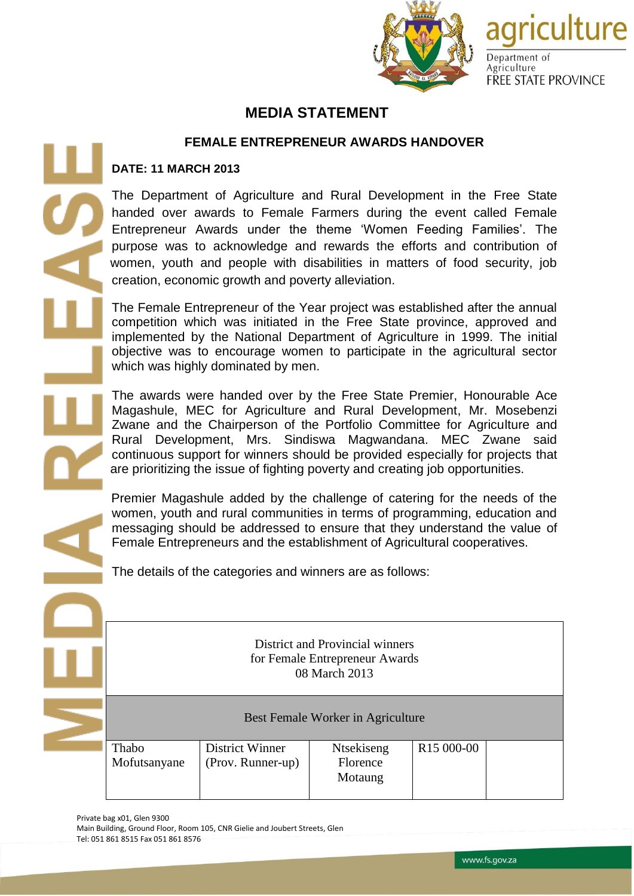

agriculture

**FREE STATE PROVINCE** 

Department of Agriculture

## **MEDIA STATEMENT**

## **FEMALE ENTREPRENEUR AWARDS HANDOVER**

## **DATE: 11 MARCH 2013**

The Department of Agriculture and Rural Development in the Free State handed over awards to Female Farmers during the event called Female Entrepreneur Awards under the theme 'Women Feeding Families'. The purpose was to acknowledge and rewards the efforts and contribution of women, youth and people with disabilities in matters of food security, job creation, economic growth and poverty alleviation.

The Female Entrepreneur of the Year project was established after the annual competition which was initiated in the Free State province, approved and implemented by the National Department of Agriculture in 1999. The initial objective was to encourage women to participate in the agricultural sector which was highly dominated by men.

The awards were handed over by the Free State Premier, Honourable Ace Magashule, MEC for Agriculture and Rural Development, Mr. Mosebenzi Zwane and the Chairperson of the Portfolio Committee for Agriculture and Rural Development, Mrs. Sindiswa Magwandana. MEC Zwane said continuous support for winners should be provided especially for projects that are prioritizing the issue of fighting poverty and creating job opportunities.

Premier Magashule added by the challenge of catering for the needs of the women, youth and rural communities in terms of programming, education and messaging should be addressed to ensure that they understand the value of Female Entrepreneurs and the establishment of Agricultural cooperatives.

The details of the categories and winners are as follows:

District and Provincial winners for Female Entrepreneur Awards 08 March 2013

Best Female Worker in Agriculture

Ntsekiseng Florence Motaung

Thabo Mofutsanyane

Private bag x01, Glen 9300

Tel: 051 861 8515 Fax 051 861 8576

Main Building, Ground Floor, Room 105, CNR Gielie and Joubert Streets, Glen

District Winner (Prov. Runner-up)

www.fs.gov.za

R15 000-00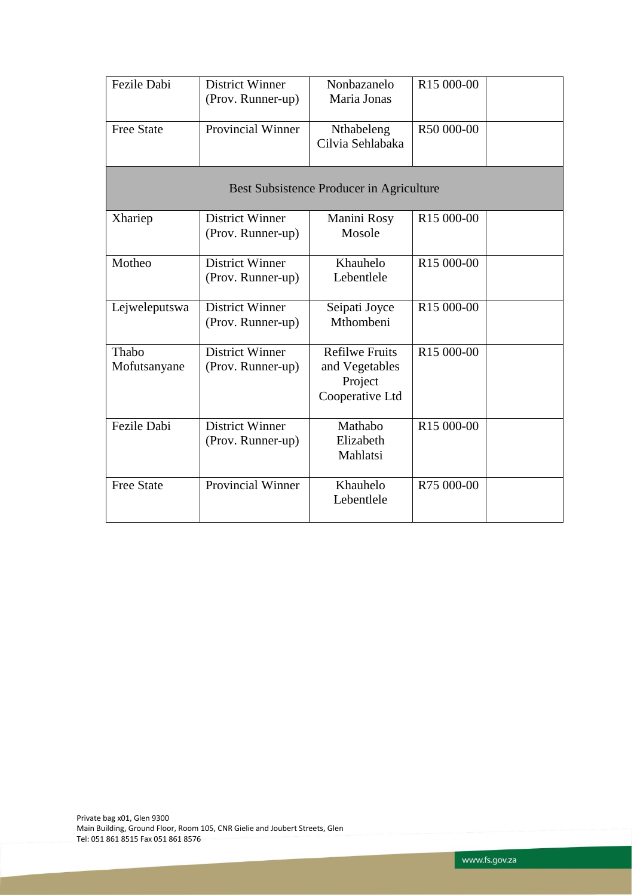| Fezile Dabi                              | <b>District Winner</b><br>(Prov. Runner-up) | Nonbazanelo<br>Maria Jonas                                            | R <sub>15</sub> 000-00 |  |  |  |  |  |
|------------------------------------------|---------------------------------------------|-----------------------------------------------------------------------|------------------------|--|--|--|--|--|
| <b>Free State</b>                        | Provincial Winner                           | Nthabeleng<br>Cilvia Sehlabaka                                        | R50 000-00             |  |  |  |  |  |
| Best Subsistence Producer in Agriculture |                                             |                                                                       |                        |  |  |  |  |  |
| Xhariep                                  | <b>District Winner</b><br>(Prov. Runner-up) | Manini Rosy<br>Mosole                                                 | R <sub>15</sub> 000-00 |  |  |  |  |  |
| Motheo                                   | <b>District Winner</b><br>(Prov. Runner-up) | Khauhelo<br>Lebentlele                                                | R <sub>15</sub> 000-00 |  |  |  |  |  |
| Lejweleputswa                            | <b>District Winner</b><br>(Prov. Runner-up) | Seipati Joyce<br>Mthombeni                                            | R15 000-00             |  |  |  |  |  |
| Thabo<br>Mofutsanyane                    | <b>District Winner</b><br>(Prov. Runner-up) | <b>Refilwe Fruits</b><br>and Vegetables<br>Project<br>Cooperative Ltd | R <sub>15</sub> 000-00 |  |  |  |  |  |
| Fezile Dabi                              | <b>District Winner</b><br>(Prov. Runner-up) | Mathabo<br>Elizabeth<br>Mahlatsi                                      | R15 000-00             |  |  |  |  |  |
| <b>Free State</b>                        | <b>Provincial Winner</b>                    | Khauhelo<br>Lebentlele                                                | R75 000-00             |  |  |  |  |  |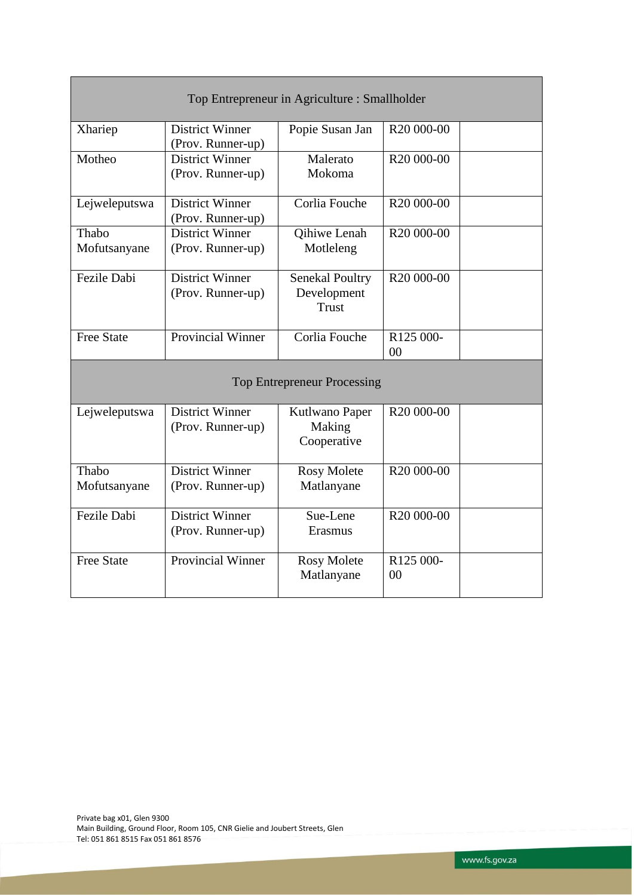| Top Entrepreneur in Agriculture : Smallholder |                                             |                                                       |                                         |  |  |  |  |
|-----------------------------------------------|---------------------------------------------|-------------------------------------------------------|-----------------------------------------|--|--|--|--|
| Xhariep                                       | <b>District Winner</b><br>(Prov. Runner-up) | Popie Susan Jan                                       | R <sub>20</sub> 000-00                  |  |  |  |  |
| Motheo                                        | <b>District Winner</b><br>(Prov. Runner-up) | Malerato<br>Mokoma                                    | R <sub>20</sub> 000-00                  |  |  |  |  |
| Lejweleputswa                                 | <b>District Winner</b><br>(Prov. Runner-up) | Corlia Fouche                                         | R <sub>20</sub> 000-00                  |  |  |  |  |
| Thabo<br>Mofutsanyane                         | <b>District Winner</b><br>(Prov. Runner-up) | Qihiwe Lenah<br>Motleleng                             | R <sub>20</sub> 000-00                  |  |  |  |  |
| Fezile Dabi                                   | <b>District Winner</b><br>(Prov. Runner-up) | <b>Senekal Poultry</b><br>Development<br><b>Trust</b> | R <sub>20</sub> 000-00                  |  |  |  |  |
| <b>Free State</b>                             | <b>Provincial Winner</b>                    | Corlia Fouche                                         | R <sub>125</sub> 000-<br>0 <sub>0</sub> |  |  |  |  |
| <b>Top Entrepreneur Processing</b>            |                                             |                                                       |                                         |  |  |  |  |
| Lejweleputswa                                 | <b>District Winner</b><br>(Prov. Runner-up) | Kutlwano Paper<br>Making<br>Cooperative               | R <sub>20</sub> 000-00                  |  |  |  |  |
| Thabo<br>Mofutsanyane                         | <b>District Winner</b><br>(Prov. Runner-up) | <b>Rosy Molete</b><br>Matlanyane                      | R <sub>20</sub> 000-00                  |  |  |  |  |
| Fezile Dabi                                   | <b>District Winner</b><br>(Prov. Runner-up) | Sue-Lene<br>Erasmus                                   | R <sub>20</sub> 000-00                  |  |  |  |  |
| <b>Free State</b>                             | <b>Provincial Winner</b>                    | <b>Rosy Molete</b><br>Matlanyane                      | R125 000-<br>0 <sub>0</sub>             |  |  |  |  |